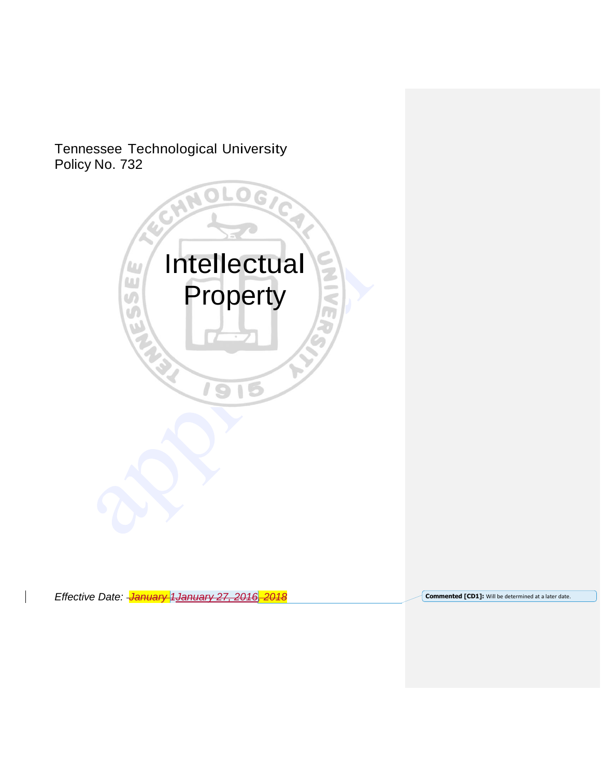# Tennessee Technological University Policy No. 732



**Effective** Date: <del>January 1January 27, 2016, 2018</del> **Commented [CD1]:** Will be determined at a later date.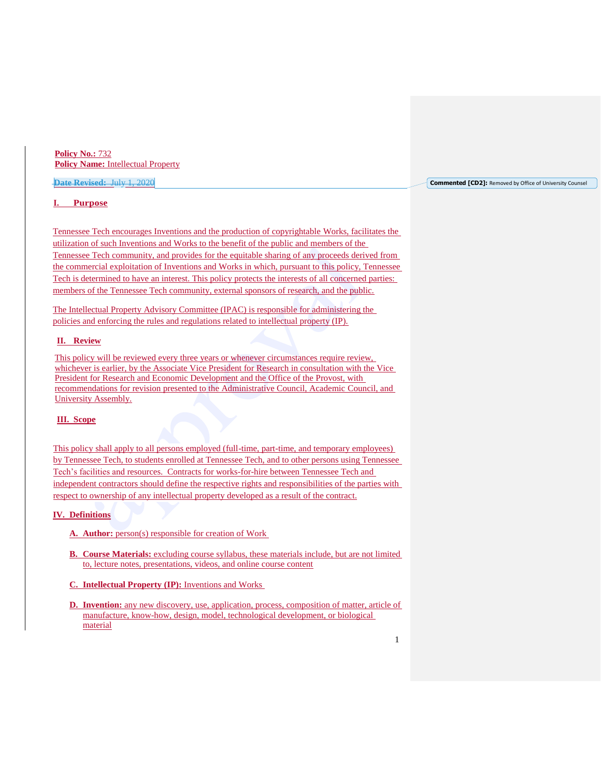**Policy No.:** 732 **Policy Name:** Intellectual Property

## **Date Revised:** July 1, 2020

## **I. Purpose**

Tennessee Tech encourages Inventions and the production of copyrightable Works, facilitates the utilization of such Inventions and Works to the benefit of the public and members of the Tennessee Tech community, and provides for the equitable sharing of any proceeds derived from the commercial exploitation of Inventions and Works in which, pursuant to this policy, Tennessee Tech is determined to have an interest. This policy protects the interests of all concerned parties: members of the Tennessee Tech community, external sponsors of research, and the public.

The Intellectual Property Advisory Committee (IPAC) is responsible for administering the policies and enforcing the rules and regulations related to intellectual property (IP).

## **II. Review**

This policy will be reviewed every three years or whenever circumstances require review, whichever is earlier, by the Associate Vice President for Research in consultation with the Vice President for Research and Economic Development and the Office of the Provost, with recommendations for revision presented to the Administrative Council, Academic Council, and University Assembly.

# **III. Scope**

This policy shall apply to all persons employed (full-time, part-time, and temporary employees) by Tennessee Tech, to students enrolled at Tennessee Tech, and to other persons using Tennessee Tech's facilities and resources. Contracts for works-for-hire between Tennessee Tech and independent contractors should define the respective rights and responsibilities of the parties with respect to ownership of any intellectual property developed as a result of the contract.

# **IV. Definitions**

- **A. Author:** person(s) responsible for creation of Work
- **B. Course Materials:** excluding course syllabus, these materials include, but are not limited to, lecture notes, presentations, videos, and online course content
- **C. Intellectual Property (IP):** Inventions and Works
- **D. Invention:** any new discovery, use, application, process, composition of matter, article of manufacture, know-how, design, model, technological development, or biological material

**Commented [CD2]:** Removed by Office of University Counsel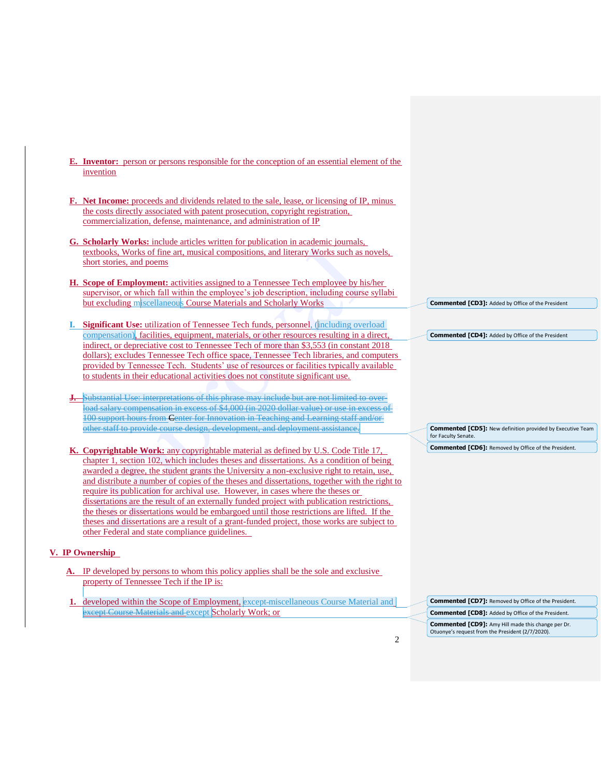- **E. Inventor:** person or persons responsible for the conception of an essential element of the invention
- **F. Net Income:** proceeds and dividends related to the sale, lease, or licensing of IP, minus the costs directly associated with patent prosecution, copyright registration, commercialization, defense, maintenance, and administration of IP
- **G. Scholarly Works:** include articles written for publication in academic journals, textbooks, Works of fine art, musical compositions, and literary Works such as novels, short stories, and poems
- **H. Scope of Employment:** activities assigned to a Tennessee Tech employee by his/her supervisor, or which fall within the employee's job description, including course syllabi but excluding miscellaneous Course Materials and Scholarly Works
- **I. Significant Use:** utilization of Tennessee Tech funds, personnel, (including overload compensation), facilities, equipment, materials, or other resources resulting in a direct, indirect, or depreciative cost to Tennessee Tech of more than \$3,553 (in constant 2018 dollars); excludes Tennessee Tech office space, Tennessee Tech libraries, and computers provided by Tennessee Tech. Students' use of resources or facilities typically available to students in their educational activities does not constitute significant use.
- Substantial Use: interpretations of this phrase may include but are not limited to overload salary compensation in excess of \$4,000 (in 2020 dollar value) or use in excess of 100 support hours from Center for Innovation in Teaching and Learning staff and/or other staff to provide course design, development, and deployment assistance.
- **K. Copyrightable Work:** any copyrightable material as defined by U.S. Code Title 17, chapter 1, section 102, which includes theses and dissertations. As a condition of being awarded a degree, the student grants the University a non-exclusive right to retain, use, and distribute a number of copies of the theses and dissertations, together with the right to require its publication for archival use. However, in cases where the theses or dissertations are the result of an externally funded project with publication restrictions, the theses or dissertations would be embargoed until those restrictions are lifted. If the theses and dissertations are a result of a grant-funded project, those works are subject to other Federal and state compliance guidelines.

# **V. IP Ownership**

- **A.** IP developed by persons to whom this policy applies shall be the sole and exclusive property of Tennessee Tech if the IP is:
- **1.** developed within the Scope of Employment, except-miscellaneous Course Material and except Course Materials and except Scholarly Work; or

**Commented [CD3]:** Added by Office of the President

**Commented [CD4]:** Added by Office of the President

**Commented [CD5]:** New definition provided by Executive Team for Faculty Senate

**Commented [CD6]:** Removed by Office of the President.

**Commented [CD7]:** Removed by Office of the President. **Commented [CD8]:** Added by Office of the President. **Commented [CD9]:** Amy Hill made this change per Dr. Otuonye's request from the President (2/7/2020).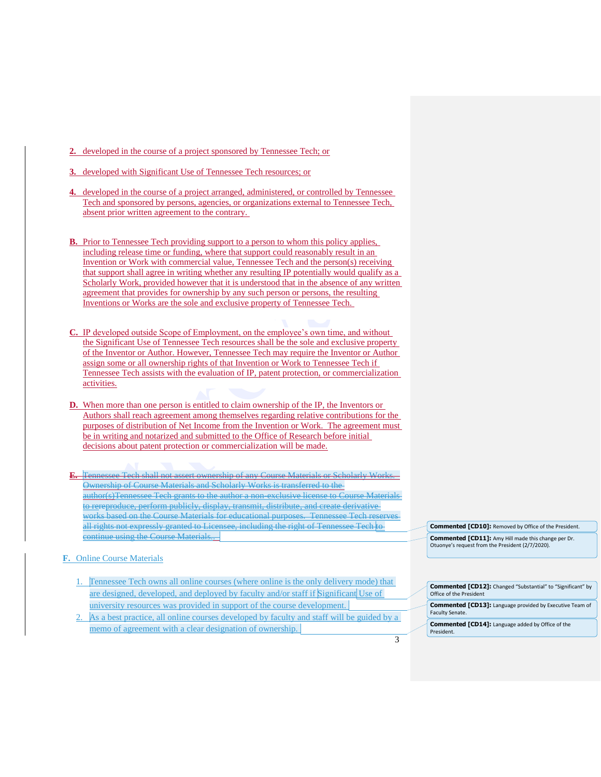- **2.** developed in the course of a project sponsored by Tennessee Tech; or
- **3.** developed with Significant Use of Tennessee Tech resources; or
- **4.** developed in the course of a project arranged, administered, or controlled by Tennessee Tech and sponsored by persons, agencies, or organizations external to Tennessee Tech, absent prior written agreement to the contrary.
- **B.** Prior to Tennessee Tech providing support to a person to whom this policy applies, including release time or funding, where that support could reasonably result in an Invention or Work with commercial value, Tennessee Tech and the person(s) receiving that support shall agree in writing whether any resulting IP potentially would qualify as a Scholarly Work, provided however that it is understood that in the absence of any written agreement that provides for ownership by any such person or persons, the resulting Inventions or Works are the sole and exclusive property of Tennessee Tech.
- **C.** IP developed outside Scope of Employment, on the employee's own time, and without the Significant Use of Tennessee Tech resources shall be the sole and exclusive property of the Inventor or Author. However, Tennessee Tech may require the Inventor or Author assign some or all ownership rights of that Invention or Work to Tennessee Tech if Tennessee Tech assists with the evaluation of IP, patent protection, or commercialization activities.
- **D.** When more than one person is entitled to claim ownership of the IP, the Inventors or Authors shall reach agreement among themselves regarding relative contributions for the purposes of distribution of Net Income from the Invention or Work. The agreement must be in writing and notarized and submitted to the Office of Research before initial decisions about patent protection or commercialization will be made.
- **E.** Tennessee Tech shall not assert ownership of any Course Materials or Scholarly Works. Ownership of Course Materials and Scholarly Works is transferred to the author(s)Tennessee Tech grants to the author a non-exclusive license to Course Materials to rereproduce, perform publicly, display, transmit, distribute, and create derivative works based on the Course Materials for educational purposes. Tennessee Tech reserves all rights not expressly granted to Licensee, including the right of Tennessee Tech to continue using the Course Materials..
- **F.** Online Course Materials
	- 1. Tennessee Tech owns all online courses (where online is the only delivery mode) that are designed, developed, and deployed by faculty and/or staff if Significant Use of university resources was provided in support of the course development.
	- 2. As a best practice, all online courses developed by faculty and staff will be guided by a memo of agreement with a clear designation of ownership.

**Commented [CD10]:** Removed by Office of the President. **Commented [CD11]:** Amy Hill made this change per Dr. Otuonye's request from the President (2/7/2020).

| <b>Commented [CD12]:</b> Changed "Substantial" to "Significant" by<br>Office of the President |
|-----------------------------------------------------------------------------------------------|
| <b>Commented [CD13]:</b> Language provided by Executive Team of<br>Faculty Senate.            |
| <b>Commented [CD14]:</b> Language added by Office of the<br>President.                        |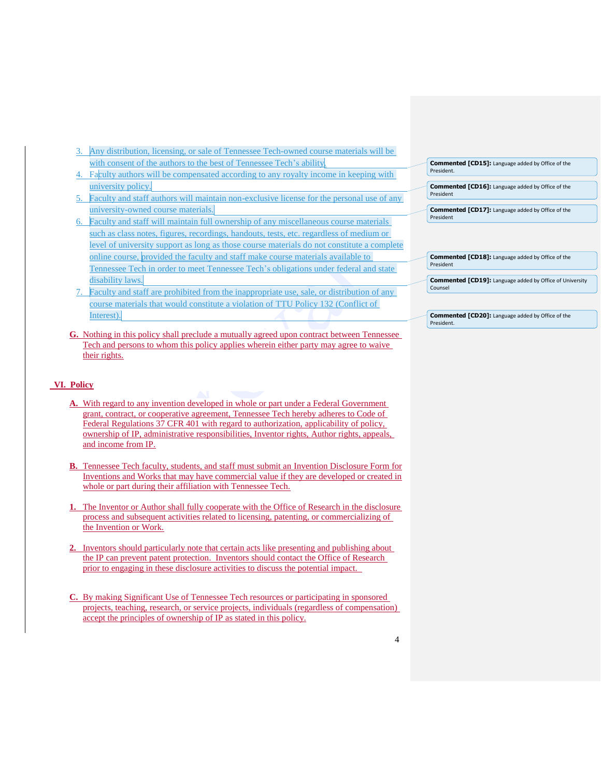- 3. Any distribution, licensing, or sale of Tennessee Tech-owned course materials will be with consent of the authors to the best of Tennessee Tech's ability.
- 4. Faculty authors will be compensated according to any royalty income in keeping with university policy.
- 5. Faculty and staff authors will maintain non-exclusive license for the personal use of any university-owned course materials.
- 6. Faculty and staff will maintain full ownership of any miscellaneous course materials such as class notes, figures, recordings, handouts, tests, etc. regardless of medium or level of university support as long as those course materials do not constitute a complete online course, provided the faculty and staff make course materials available to Tennessee Tech in order to meet Tennessee Tech's obligations under federal and state disability laws.
- 7. Faculty and staff are prohibited from the inappropriate use, sale, or distribution of any course materials that would constitute a violation of TTU Policy 132 (Conflict of Interest).
- **G.** Nothing in this policy shall preclude a mutually agreed upon contract between Tennessee Tech and persons to whom this policy applies wherein either party may agree to waive their rights.

# **VI. Policy**

- **A.** With regard to any invention developed in whole or part under a Federal Government grant, contract, or cooperative agreement, Tennessee Tech hereby adheres to Code of Federal Regulations 37 CFR 401 with regard to authorization, applicability of policy, ownership of IP, administrative responsibilities, Inventor rights, Author rights, appeals, and income from IP.
- **B.** Tennessee Tech faculty, students, and staff must submit an [Invention Disclosure Form](https://www.tntech.edu/research/research-compliance/intellectual-property-advisory-committee/#forms) for Inventions and Works that may have commercial value if they are developed or created in whole or part during their affiliation with Tennessee Tech.
- **1.** The Inventor or Author shall fully cooperate with the Office of Research in the disclosure process and subsequent activities related to licensing, patenting, or commercializing of the Invention or Work.
- **2.** Inventors should particularly note that certain acts like presenting and publishing about the IP can prevent patent protection. Inventors should contact the Office of Research prior to engaging in these disclosure activities to discuss the potential impact.
- **C.** By making Significant Use of Tennessee Tech resources or participating in sponsored projects, teaching, research, or service projects, individuals (regardless of compensation) accept the principles of ownership of IP as stated in this policy.

|            | <b>Commented [CD15]:</b> Language added by Office of the |  |
|------------|----------------------------------------------------------|--|
| President. |                                                          |  |

**Commented [CD16]:** Language added by Office of the President

**Commented [CD17]:** Language added by Office of the President

**Commented [CD18]:** Language added by Office of the President

**Commented [CD19]:** Language added by Office of University Counsel

**Commented [CD20]:** Language added by Office of the President.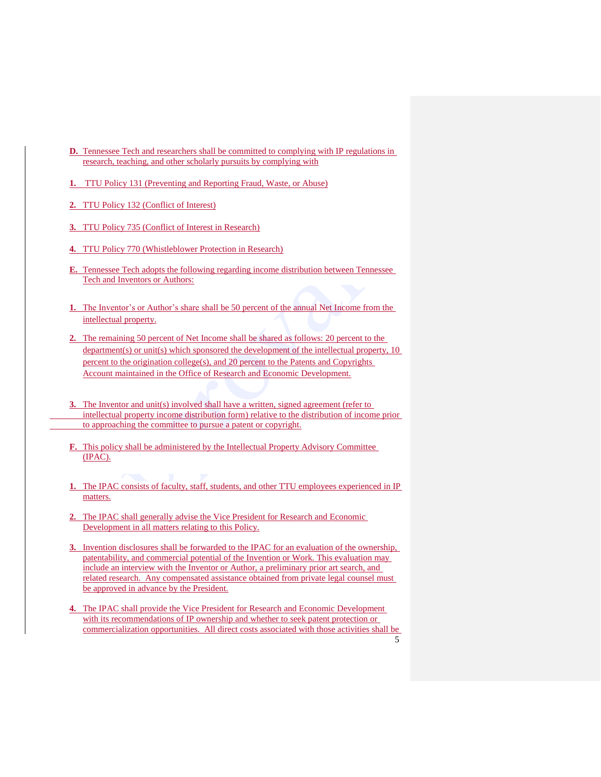- **D.** Tennessee Tech and researchers shall be committed to complying with IP regulations in research, teaching, and other scholarly pursuits by complying with
- **1.** TTU Policy 131 (Preventing and Reporting Fraud, Waste, or Abuse)
- **2.** TTU Policy 132 (Conflict of Interest)
- **3.** TTU Policy 735 (Conflict of Interest in Research)
- **4.** TTU Policy 770 (Whistleblower Protection in Research)
- **E.** Tennessee Tech adopts the following regarding income distribution between Tennessee Tech and Inventors or Authors:
- **1.** The Inventor's or Author's share shall be 50 percent of the annual Net Income from the intellectual property.
- **2.** The remaining 50 percent of Net Income shall be shared as follows: 20 percent to the department(s) or unit(s) which sponsored the development of the intellectual property, 10 percent to the origination college(s), and 20 percent to the Patents and Copyrights Account maintained in the Office of Research and Economic Development.
- **3.** The Inventor and unit(s) involved shall have a written, signed agreement (refer to [intellectual property income distribution form\)](https://www.tntech.edu/assets/userfiles/resourcefiles/9381/1456162923_IncomeDistributionForm.pdf) relative to the distribution of income prior to approaching the committee to pursue a patent or copyright.
- **F.** This policy shall be administered by the Intellectual Property Advisory Committee (IPAC).
- **1.** The IPAC consists of faculty, staff, students, and other TTU employees experienced in IP matters.
- **2.** The IPAC shall generally advise the Vice President for Research and Economic Development in all matters relating to this Policy.
- **3.** Invention disclosures shall be forwarded to the IPAC for an evaluation of the ownership, patentability, and commercial potential of the Invention or Work. This evaluation may include an interview with the Inventor or Author, a preliminary prior art search, and related research. Any compensated assistance obtained from private legal counsel must be approved in advance by the President.
- 5 **4.** The IPAC shall provide the Vice President for Research and Economic Development with its recommendations of IP ownership and whether to seek patent protection or commercialization opportunities. All direct costs associated with those activities shall be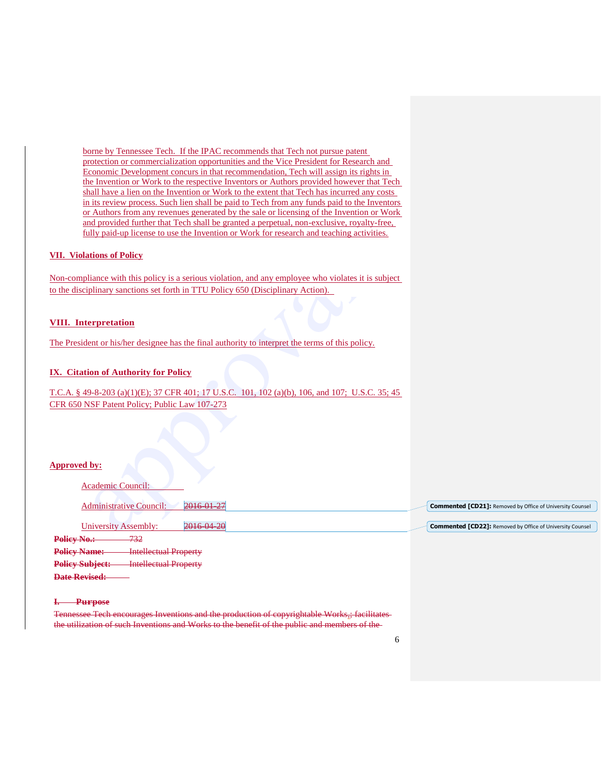borne by Tennessee Tech. If the IPAC recommends that Tech not pursue patent protection or commercialization opportunities and the Vice President for Research and Economic Development concurs in that recommendation, Tech will assign its rights in the Invention or Work to the respective Inventors or Authors provided however that Tech shall have a lien on the Invention or Work to the extent that Tech has incurred any costs in its review process. Such lien shall be paid to Tech from any funds paid to the Inventors or Authors from any revenues generated by the sale or licensing of the Invention or Work and provided further that Tech shall be granted a perpetual, non-exclusive, royalty-free, fully paid-up license to use the Invention or Work for research and teaching activities.

## **VII. Violations of Policy**

Non-compliance with this policy is a serious violation, and any employee who violates it is subject to the disciplinary sanctions set forth in TTU Policy 650 (Disciplinary Action).

## **VIII. Interpretation**

The President or his/her designee has the final authority to interpret the terms of this policy.

# **IX. Citation of Authority for Policy**

T.C.A. § 49-8-203 (a)(1)(E); 37 CFR 401; 17 U.S.C. 101, 102 (a)(b), 106, and 107; U.S.C. 35; 45 CFR 650 NSF Patent Policy; Public Law 107-273

### **Approved by:**

| Academic Council:                                      |                                                                  |  |
|--------------------------------------------------------|------------------------------------------------------------------|--|
| 2016-01-27<br><b>Administrative Council:</b>           | <b>Commented [CD21]:</b> Removed by Office of University Counsel |  |
| 2016-04-20<br>University Assembly:                     | <b>Commented [CD22]:</b> Removed by Office of University Counsel |  |
| Policy No.:<br>732                                     |                                                                  |  |
| <b>Policy Name:</b><br><b>Intellectual Property</b>    |                                                                  |  |
| <b>Policy Subject:</b><br><b>Intellectual Property</b> |                                                                  |  |
| <b>Date Revised:</b>                                   |                                                                  |  |

#### **I. Purpose**

Tennessee Tech encourages Inventions and the production of copyrightable Works,; facilitates the utilization of such Inventions and Works to the benefit of the public and members of the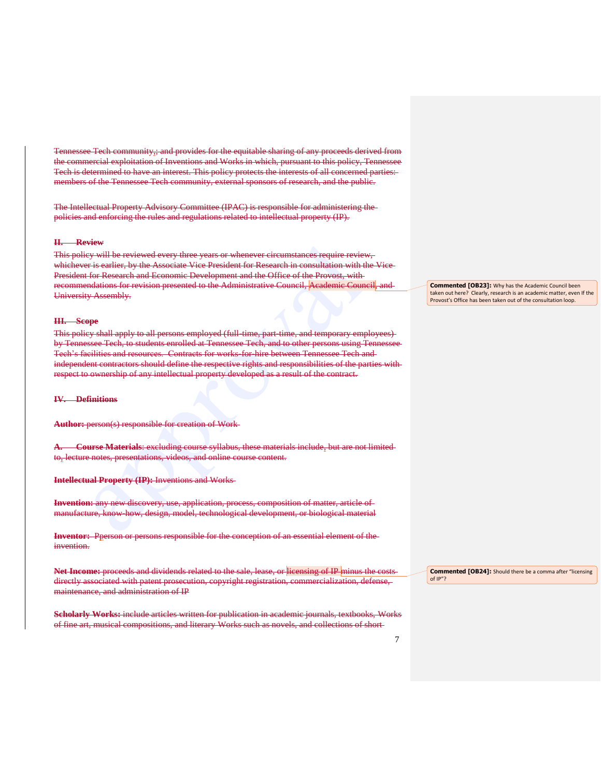Tennessee Tech community;; and provides for the equitable sharing of any proceeds derived from the commercial exploitation of Inventions and Works in which, pursuant to this policy, Tennessee Tech is determined to have an interest. This policy protects the interests of all concerned parties: members of the Tennessee Tech community, external sponsors of research, and the public.

The Intellectual Property Advisory Committee (IPAC) is responsible for administering the policies and enforcing the rules and regulations related to intellectual property (IP).

#### **II. Review**

This policy will be reviewed every three years or whenever circumstances require review, whichever is earlier, by the Associate Vice President for Research in consultation with the Vice President for Research and Economic Development and the Office of the Provost, with recommendations for revision presented to the Administrative Council, Academic Council, and University Assembly.

#### **III. Scope**

This policy shall apply to all persons employed (full-time, part-time, and temporary employees)by Tennessee Tech, to students enrolled at Tennessee Tech, and to other persons using Tennessee Tech's facilities and resources. Contracts for works-for-hire between Tennessee Tech and independent contractors should define the respective rights and responsibilities of the parties with respect to ownership of any intellectual property developed as a result of the contract.

## **IV. Definitions**

**Author:** person(s) responsible for creation of Work

**A. Course Materials**: excluding course syllabus, these materials include, but are not limited to, lecture notes, presentations, videos, and online course content.

**Intellectual Property (IP):** Inventions and Works

**Invention:** any new discovery, use, application, process, composition of matter, article of manufacture, know-how, design, model, technological development, or biological material

**Inventor:** Pperson or persons responsible for the conception of an essential element of the invention.

Net Income: proceeds and dividends related to the sale, lease, or licensing of IP minus the costsdirectly associated with patent prosecution, copyright registration, commercialization, defense, maintenance, and administration of IP

**Scholarly Works:** include articles written for publication in academic journals, textbooks, Works of fine art, musical compositions, and literary Works such as novels, and collections of short

**Commented [OB23]:** Why has the Academic Council been taken out here? Clearly, research is an academic matter, even If the Provost's Office has been taken out of the consultation loop.

**Commented [OB24]:** Should there be a comma after "licensing of IP"?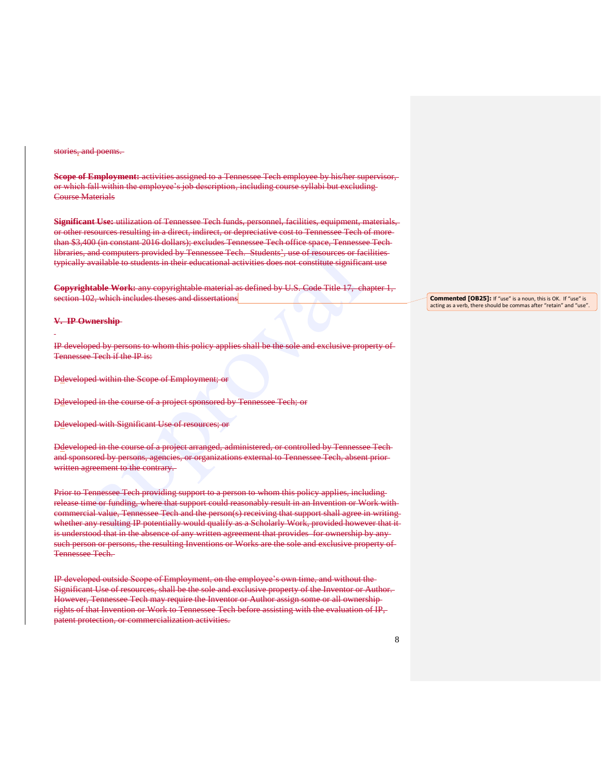#### stories, and poems.

**Scope of Employment:** activities assigned to a Tennessee Tech employee by his/her supervisor, or which fall within the employee's job description, including course syllabi but excluding Course Materials

**Significant Use:** utilization of Tennessee Tech funds, personnel, facilities, equipment, materials, or other resources resulting in a direct, indirect, or depreciative cost to Tennessee Tech of more than \$3,400 (in constant 2016 dollars); excludes Tennessee Tech office space, Tennessee Tech libraries, and computers provided by Tennessee Tech. Students', use of resources or facilities typically available to students in their educational activities does not constitute significant use

**Copyrightable Work:** any copyrightable material as defined by U.S. Code Title 17, chapter 1, section 102, which includes theses and dissertations

#### **V. IP Ownership**

IP developed by persons to whom this policy applies shall be the sole and exclusive property of Tennessee Tech if the IP is:

Ddeveloped within the Scope of Employment; or

Ddeveloped in the course of a project sponsored by Tennessee Tech; or

Ddeveloped with Significant Use of resources; or

Ddeveloped in the course of a project arranged, administered, or controlled by Tennessee Tech and sponsored by persons, agencies, or organizations external to Tennessee Tech, absent prior written agreement to the contrary.

Prior to Tennessee Tech providing support to a person to whom this policy applies, includingrelease time or funding, where that support could reasonably result in an Invention or Work with commercial value, Tennessee Tech and the person(s) receiving that support shall agree in writing whether any resulting IP potentially would qualify as a Scholarly Work, provided however that it is understood that in the absence of any written agreement that provides for ownership by anysuch person or persons, the resulting Inventions or Works are the sole and exclusive property of Tennessee Tech.

IP developed outside Scope of Employment, on the employee's own time, and without the Significant Use of resources, shall be the sole and exclusive property of the Inventor or Author. However, Tennessee Tech may require the Inventor or Author assign some or all ownership rights of that Invention or Work to Tennessee Tech before assisting with the evaluation of IP, patent protection, or commercialization activities.

**Commented [OB25]:** If "use" is a noun, this is OK. If "use" is acting as a verb, there should be commas after "retain" and "use".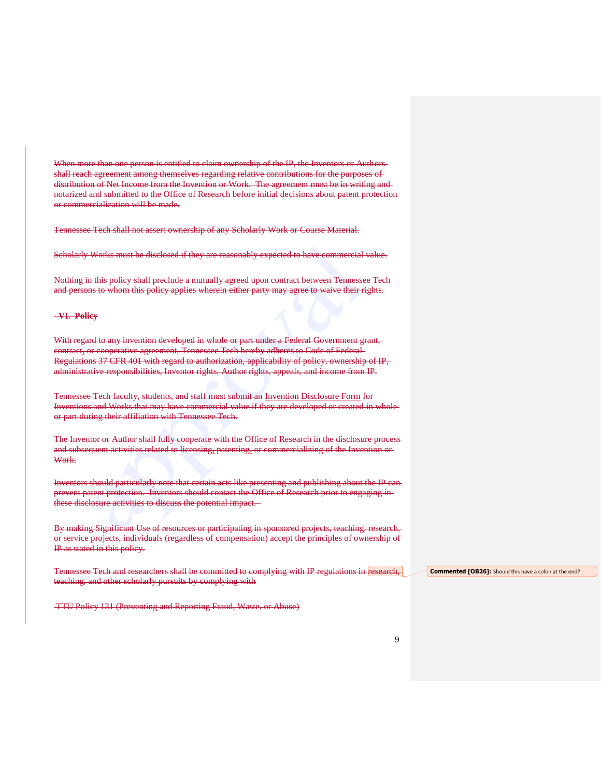When more than one person is entitled to claim ownership of the IP, the Inventors or Authorsshall reach agreement among themselves regarding relative contributions for the purposes of distribution of Net Income from the Invention or Work. The agreement must be in writing and notarized and submitted to the Office of Research before initial decisions about patent protection or commercialization will be made.

Tennessee Tech shall not assert ownership of any Scholarly Work or Course Material.

Scholarly Works must be disclosed if they are reasonably expected to have commercial value.

Nothing in this policy shall preclude a mutually agreed upon contract between Tennessee Tech and persons to whom this policy applies wherein either party may agree to waive their rights.

#### **VI. Policy**

With regard to any invention developed in whole or part under a Federal Government grant, contract, or cooperative agreement, Tennessee Tech hereby adheres to Code of Federal Regulations 37 CFR 401 with regard to authorization, applicability of policy, ownership of IP, administrative responsibilities, Inventor rights, Author rights, appeals, and income from IP.

Tennessee Tech faculty, students, and staff must submit an Invention Disclosure Form for Inventions and Works that may have commercial value if they are developed or created in whole or part during their affiliation with Tennessee Tech.

The Inventor or Author shall fully cooperate with the Office of Research in the disclosure process and subsequent activities related to licensing, patenting, or commercializing of the Invention or Work.

Inventors should particularly note that certain acts like presenting and publishing about the IP can prevent patent protection. Inventors should contact the Office of Research prior to engaging in these disclosure activities to discuss the potential impact.

By making Significant Use of resources or participating in sponsored projects, teaching, research, or service projects, individuals (regardless of compensation) accept the principles of ownership of IP as stated in this policy.

Tennessee Tech and researchers shall be committed to complying with IP regulations in research, teaching, and other scholarly pursuits by complying with

TTU Policy 131 (Preventing and Reporting Fraud, Waste, or Abuse)

**Commented [OB26]:** Should this have a colon at the end?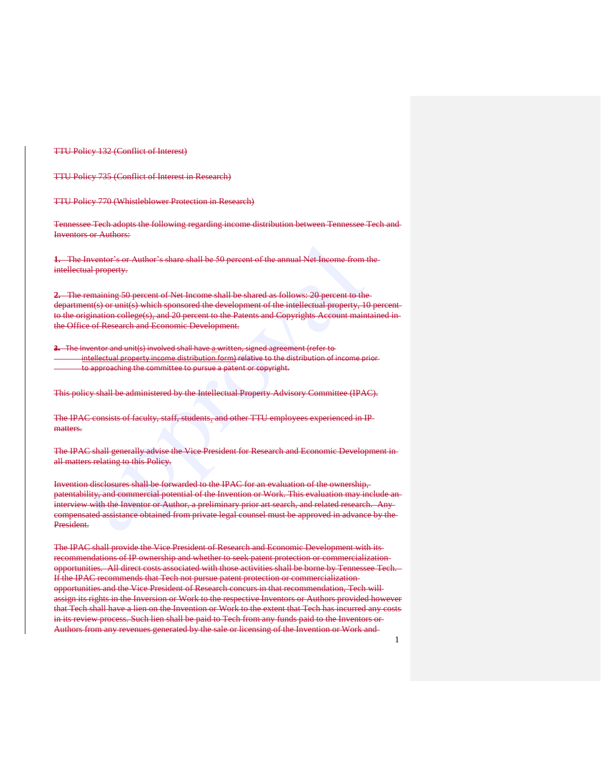TTU Policy 132 (Conflict of Interest)

TTU Policy 735 (Conflict of Interest in Research)

TTU Policy 770 (Whistleblower Protection in Research)

Tennessee Tech adopts the following regarding income distribution between Tennessee Tech and Inventors or Authors:

**1.** The Inventor's or Author's share shall be 50 percent of the annual Net Income from the intellectual property.

**2.** The remaining 50 percent of Net Income shall be shared as follows: 20 percent to the department(s) or unit(s) which sponsored the development of the intellectual property, 10 percent to the origination college(s), and 20 percent to the Patents and Copyrights Account maintained inthe Office of Research and Economic Development.

**3.** The Inventor and unit(s) involved shall have a written, signed agreement (refer to intellectual property income distribution form) relative to the distribution of income prior to approaching the committee to pursue a patent or copyright.

This policy shall be administered by the Intellectual Property Advisory Committee (IPAC).

The IPAC consists of faculty, staff, students, and other TTU employees experienced in IPmatters.

The IPAC shall generally advise the Vice President for Research and Economic Development in all matters relating to this Policy.

Invention disclosures shall be forwarded to the IPAC for an evaluation of the ownership, patentability, and commercial potential of the Invention or Work. This evaluation may include an interview with the Inventor or Author, a preliminary prior art search, and related research. Any compensated assistance obtained from private legal counsel must be approved in advance by the President.

The IPAC shall provide the Vice President of Research and Economic Development with its recommendations of IP ownership and whether to seek patent protection or commercialization opportunities. All direct costs associated with those activities shall be borne by Tennessee Tech. If the IPAC recommends that Tech not pursue patent protection or commercialization opportunities and the Vice President of Research concurs in that recommendation, Tech will assign its rights in the Inversion or Work to the respective Inventors or Authors provided however that Tech shall have a lien on the Invention or Work to the extent that Tech has incurred any costs in its review process. Such lien shall be paid to Tech from any funds paid to the Inventors or Authors from any revenues generated by the sale or licensing of the Invention or Work and